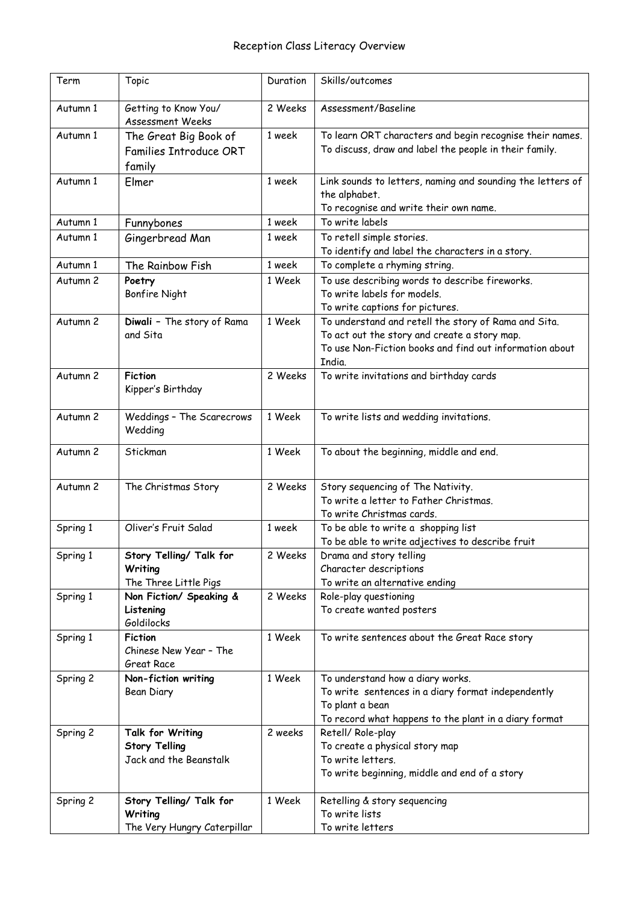| Term     | Topic                                                              | Duration | Skills/outcomes                                                                                                                                                           |
|----------|--------------------------------------------------------------------|----------|---------------------------------------------------------------------------------------------------------------------------------------------------------------------------|
| Autumn 1 | Getting to Know You/<br>Assessment Weeks                           | 2 Weeks  | Assessment/Baseline                                                                                                                                                       |
| Autumn 1 | The Great Big Book of<br><b>Families Introduce ORT</b><br>family   | 1 week   | To learn ORT characters and begin recognise their names.<br>To discuss, draw and label the people in their family.                                                        |
| Autumn 1 | Elmer                                                              | 1 week   | Link sounds to letters, naming and sounding the letters of<br>the alphabet.<br>To recognise and write their own name.                                                     |
| Autumn 1 | Funnybones                                                         | 1 week   | To write labels                                                                                                                                                           |
| Autumn 1 | Gingerbread Man                                                    | 1 week   | To retell simple stories.<br>To identify and label the characters in a story.                                                                                             |
| Autumn 1 | The Rainbow Fish                                                   | 1 week   | To complete a rhyming string.                                                                                                                                             |
| Autumn 2 | Poetry<br><b>Bonfire Night</b>                                     | 1 Week   | To use describing words to describe fireworks.<br>To write labels for models.<br>To write captions for pictures.                                                          |
| Autumn 2 | Diwali - The story of Rama<br>and Sita                             | 1 Week   | To understand and retell the story of Rama and Sita.<br>To act out the story and create a story map.<br>To use Non-Fiction books and find out information about<br>India. |
| Autumn 2 | <b>Fiction</b><br>Kipper's Birthday                                | 2 Weeks  | To write invitations and birthday cards                                                                                                                                   |
| Autumn 2 | Weddings - The Scarecrows<br>Wedding                               | 1 Week   | To write lists and wedding invitations.                                                                                                                                   |
| Autumn 2 | Stickman                                                           | 1 Week   | To about the beginning, middle and end.                                                                                                                                   |
| Autumn 2 | The Christmas Story                                                | 2 Weeks  | Story sequencing of The Nativity.<br>To write a letter to Father Christmas.<br>To write Christmas cards.                                                                  |
| Spring 1 | Oliver's Fruit Salad                                               | 1 week   | To be able to write a shopping list<br>To be able to write adjectives to describe fruit                                                                                   |
| Spring 1 | Story Telling/ Talk for<br>Writing<br>The Three Little Pigs        | 2 Weeks  | Drama and story telling<br>Character descriptions<br>To write an alternative ending                                                                                       |
| Spring 1 | Non Fiction/ Speaking &<br>Listening<br>Goldilocks                 | 2 Weeks  | Role-play questioning<br>To create wanted posters                                                                                                                         |
| Spring 1 | <b>Fiction</b><br>Chinese New Year - The<br>Great Race             | 1 Week   | To write sentences about the Great Race story                                                                                                                             |
| Spring 2 | Non-fiction writing<br>Bean Diary                                  | 1 Week   | To understand how a diary works.<br>To write sentences in a diary format independently<br>To plant a bean<br>To record what happens to the plant in a diary format        |
| Spring 2 | Talk for Writing<br><b>Story Telling</b><br>Jack and the Beanstalk | 2 weeks  | Retell/Role-play<br>To create a physical story map<br>To write letters.<br>To write beginning, middle and end of a story                                                  |
| Spring 2 | Story Telling/ Talk for<br>Writing<br>The Very Hungry Caterpillar  | 1 Week   | Retelling & story sequencing<br>To write lists<br>To write letters                                                                                                        |